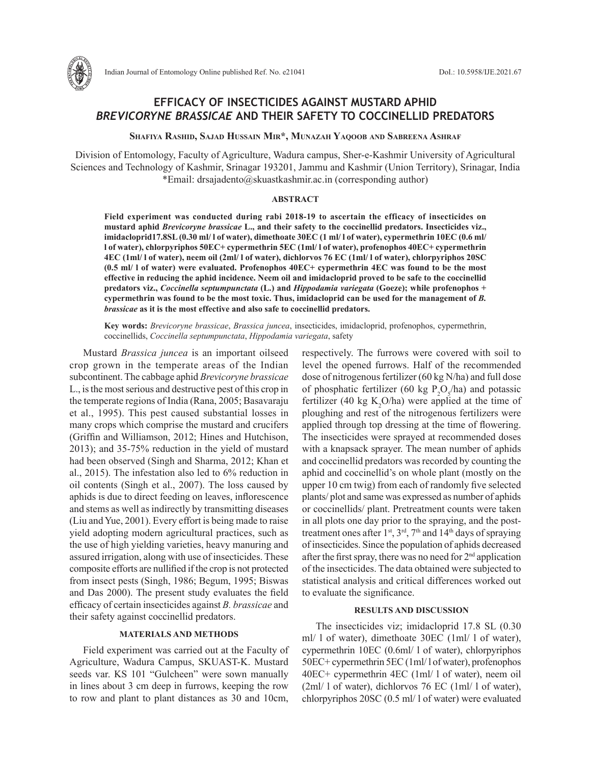

# **EFFICACY OF INSECTICIDES AGAINST MUSTARD APHID**  *BREVICORYNE BRASSICAE* **AND THEIR SAFETY TO COCCINELLID PREDATORS**

**Shafiya Rashid, Sajad Hussain Mir\*, Munazah Yaqoob and Sabreena Ashraf**

Division of Entomology, Faculty of Agriculture, Wadura campus, Sher-e-Kashmir University of Agricultural Sciences and Technology of Kashmir, Srinagar 193201, Jammu and Kashmir (Union Territory), Srinagar, India \*Email: drsajadento@skuastkashmir.ac.in (corresponding author)

## **ABSTRACT**

**Field experiment was conducted during rabi 2018-19 to ascertain the efficacy of insecticides on mustard aphid** *Brevicoryne brassicae* **L., and their safety to the coccinellid predators. Insecticides viz., imidacloprid17.8SL (0.30 ml/ l of water), dimethoate 30EC (1 ml/ l of water), cypermethrin 10EC (0.6 ml/ l of water), chlorpyriphos 50EC+ cypermethrin 5EC (1ml/ l of water), profenophos 40EC+ cypermethrin 4EC (1ml/ l of water), neem oil (2ml/ l of water), dichlorvos 76 EC (1ml/ l of water), chlorpyriphos 20SC (0.5 ml/ l of water) were evaluated. Profenophos 40EC+ cypermethrin 4EC was found to be the most effective in reducing the aphid incidence. Neem oil and imidacloprid proved to be safe to the coccinellid predators viz.,** *Coccinella septumpunctata* **(L.) and** *Hippodamia variegata* **(Goeze); while profenophos + cypermethrin was found to be the most toxic. Thus, imidacloprid can be used for the management of** *B. brassicae* **as it is the most effective and also safe to coccinellid predators.**

**Key words:** *Brevicoryne brassicae*, *Brassica juncea*, insecticides, imidacloprid, profenophos, cypermethrin, coccinellids, *Coccinella septumpunctata*, *Hippodamia variegata*, safety

Mustard *Brassica juncea* is an important oilseed crop grown in the temperate areas of the Indian subcontinent. The cabbage aphid *Brevicoryne brassicae*  L., is the most serious and destructive pest of this crop in the temperate regions of India (Rana, 2005; Basavaraju et al., 1995). This pest caused substantial losses in many crops which comprise the mustard and crucifers (Griffin and Williamson, 2012; Hines and Hutchison, 2013); and 35-75% reduction in the yield of mustard had been observed (Singh and Sharma, 2012; Khan et al., 2015). The infestation also led to 6% reduction in oil contents (Singh et al., 2007). The loss caused by aphids is due to direct feeding on leaves, inflorescence and stems as well as indirectly by transmitting diseases (Liu and Yue, 2001). Every effort is being made to raise yield adopting modern agricultural practices, such as the use of high yielding varieties, heavy manuring and assured irrigation, along with use of insecticides. These composite efforts are nullified if the crop is not protected from insect pests (Singh, 1986; Begum, 1995; Biswas and Das 2000). The present study evaluates the field efficacy of certain insecticides against *B. brassicae* and their safety against coccinellid predators.

#### **MATERIALS AND METHODS**

Field experiment was carried out at the Faculty of Agriculture, Wadura Campus, SKUAST-K. Mustard seeds var. KS 101 "Gulcheen" were sown manually in lines about 3 cm deep in furrows, keeping the row to row and plant to plant distances as 30 and 10cm,

respectively. The furrows were covered with soil to level the opened furrows. Half of the recommended dose of nitrogenous fertilizer (60 kg N/ha) and full dose of phosphatic fertilizer (60 kg  $P_2O_f/ha$ ) and potassic fertilizer (40 kg  $K_2O/ha$ ) were applied at the time of ploughing and rest of the nitrogenous fertilizers were applied through top dressing at the time of flowering. The insecticides were sprayed at recommended doses with a knapsack sprayer. The mean number of aphids and coccinellid predators was recorded by counting the aphid and coccinellid's on whole plant (mostly on the upper 10 cm twig) from each of randomly five selected plants/ plot and same was expressed as number of aphids or coccinellids/ plant. Pretreatment counts were taken in all plots one day prior to the spraying, and the posttreatment ones after  $1^{st}$ ,  $3^{rd}$ ,  $7^{th}$  and  $14^{th}$  days of spraying of insecticides. Since the population of aphids decreased after the first spray, there was no need for 2nd application of the insecticides. The data obtained were subjected to statistical analysis and critical differences worked out to evaluate the significance.

### **RESULTS AND DISCUSSION**

The insecticides viz; imidacloprid 17.8 SL (0.30 ml/ l of water), dimethoate 30EC (1ml/ l of water), cypermethrin 10EC (0.6ml/ l of water), chlorpyriphos 50EC+ cypermethrin 5EC (1ml/ l of water), profenophos 40EC+ cypermethrin 4EC (1ml/ l of water), neem oil (2ml/ l of water), dichlorvos 76 EC (1ml/ l of water), chlorpyriphos 20SC (0.5 ml/ l of water) were evaluated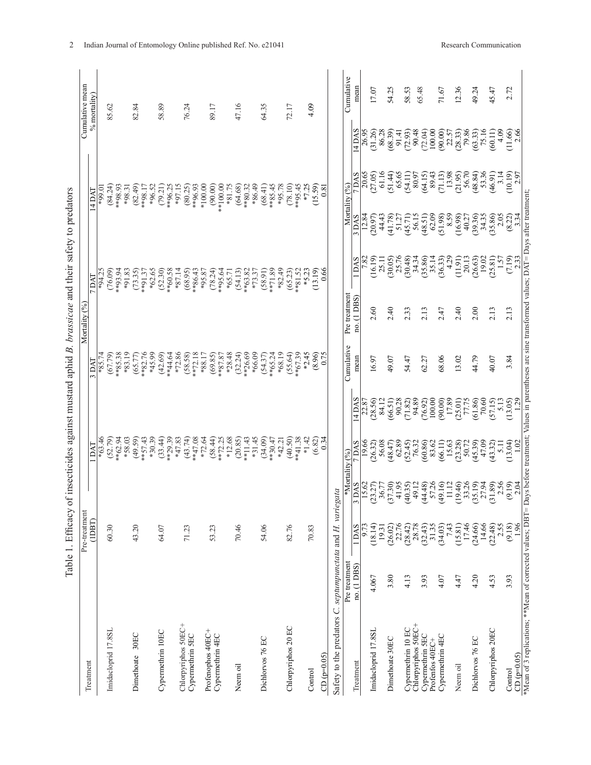| į                         |
|---------------------------|
|                           |
| ة<br>با<br>j              |
|                           |
|                           |
|                           |
|                           |
|                           |
|                           |
|                           |
| $\frac{1}{2}$             |
|                           |
| $-16.24$<br>j             |
|                           |
|                           |
| $\frac{3}{4}$             |
|                           |
|                           |
|                           |
|                           |
|                           |
|                           |
|                           |
|                           |
|                           |
|                           |
|                           |
| $\overline{a}$<br>١       |
|                           |
|                           |
|                           |
| İ                         |
|                           |
|                           |
| į                         |
|                           |
|                           |
|                           |
|                           |
|                           |
|                           |
| $7.1487 + 10.81777 + 0.1$ |
|                           |
|                           |
| J                         |
|                           |
| i                         |
| i                         |
|                           |
| くうこ                       |
|                           |
|                           |
|                           |
|                           |
|                           |
|                           |
|                           |
| ł                         |
| $\frac{1}{2}$             |
|                           |
| 217.7                     |
|                           |
|                           |
|                           |
| ့်                        |
| <b>.</b><br>.             |
| I                         |
|                           |
| ł                         |
| ł                         |
|                           |
| į<br>Ĕ                    |

|                                                                                                                                                                |               | Pre-treatment        |                    |                           |                            | Table 1. Efficacy of insecticides against mustard aphid B. brassicae and their safety to predators | Mortality (%) |                      |                    |                  |                      | Cumulative mean |
|----------------------------------------------------------------------------------------------------------------------------------------------------------------|---------------|----------------------|--------------------|---------------------------|----------------------------|----------------------------------------------------------------------------------------------------|---------------|----------------------|--------------------|------------------|----------------------|-----------------|
| Treatment                                                                                                                                                      |               | THELL                |                    | DAT                       |                            | 3 DAI                                                                                              |               | 7 DAT                |                    | 14 DAI           |                      | % mortality)    |
|                                                                                                                                                                |               |                      |                    | *63.46                    |                            | *85.74                                                                                             |               | *94.25               |                    | *99.01           |                      |                 |
| Imidacloprid 17.8SL                                                                                                                                            |               | 60.30                |                    | (52.79)                   |                            | (67.79)                                                                                            |               | (76.09)              |                    | (84.24)          |                      | 85.62           |
|                                                                                                                                                                |               |                      |                    | **62.94                   |                            | **85.38                                                                                            |               | **93.94              |                    | $$6.86**$        |                      |                 |
|                                                                                                                                                                |               |                      |                    | *58.03                    |                            | *83.19                                                                                             |               | *91.83               |                    | *98.31           |                      |                 |
| 30EC<br>Dimethoate                                                                                                                                             |               | 43.20                |                    | (49.59)                   |                            | (65.77)                                                                                            |               | (73.35)              |                    | (82.49)          |                      | 82.84           |
|                                                                                                                                                                |               |                      |                    | $**57.43$                 |                            | **82.76                                                                                            |               | $**91.37$            |                    | $*898.17$        |                      |                 |
|                                                                                                                                                                |               |                      |                    | *30.39                    |                            | *45.99                                                                                             |               | *62.65               |                    | *96.52           |                      |                 |
| Cypermethrin 10EC                                                                                                                                              |               | 64.07                |                    | (33.44)                   |                            | (42.69)                                                                                            |               | (52.30)              |                    | (79.21)          |                      | 58.89           |
|                                                                                                                                                                |               |                      |                    | $*29.39$                  |                            | **44.64                                                                                            |               | **60.58              |                    | **96.25          |                      |                 |
| Chlorpyriphos 50EC+                                                                                                                                            |               |                      |                    | *47.83                    |                            | *72.86                                                                                             |               | $*87.14$             |                    | *97.15           |                      |                 |
| Cypermethrin SEC                                                                                                                                               |               | 71.23                |                    | (43.74)                   |                            | (58.58)                                                                                            |               | (68.95)              |                    | (80.25)          |                      | 76.24           |
|                                                                                                                                                                |               |                      |                    | **47.08                   |                            | **72.18                                                                                            |               | **86.43<br>*95.87    |                    | **96.93          |                      |                 |
| Profenophos 40EC+                                                                                                                                              |               |                      |                    | *72.64                    |                            | *88.17                                                                                             |               |                      |                    | $*100.00$        |                      |                 |
|                                                                                                                                                                |               | 53.23                |                    | (58.44)                   |                            | (69.85)                                                                                            |               | (78.24)              |                    | (90.00)          |                      | 89.17           |
| Cypermethrin 4EC                                                                                                                                               |               |                      |                    | $*72.25$                  |                            | **87.87                                                                                            |               | **95.64              |                    | **100.00         |                      |                 |
|                                                                                                                                                                |               |                      |                    | *12.68                    |                            | $*28.48$                                                                                           |               | *65.71               |                    | *81.75           |                      |                 |
| Neem oil                                                                                                                                                       |               | 70.46                |                    | (20.85)                   |                            | (32.24)                                                                                            |               | (54.13)              |                    | (64.68)          |                      | 47.16           |
|                                                                                                                                                                |               |                      |                    | **11.43                   |                            | **26.69                                                                                            |               | **63.82              |                    | **80.32          |                      |                 |
|                                                                                                                                                                |               |                      |                    | *31.45                    |                            | *66.09                                                                                             |               | *73.37               |                    | *86.49           |                      |                 |
| Dichlorvos 76 EC                                                                                                                                               |               | 54.06                |                    | (34.09)                   |                            | (54.37)                                                                                            |               | (58.91)              |                    | (68.41)          |                      | 64.35           |
|                                                                                                                                                                |               |                      |                    | 47                        |                            | **65.24                                                                                            |               | **71.89              |                    | $**85.45$        |                      |                 |
|                                                                                                                                                                |               |                      |                    | $*42.21$                  |                            | *68.19                                                                                             |               | *82.49               |                    | *95.78           |                      |                 |
| Chlorpyriphos 20 EC                                                                                                                                            |               | 82.76                |                    | (40.50)                   |                            | (55.64)                                                                                            |               | (65.23)              |                    | (78.10)          |                      | 72.17           |
|                                                                                                                                                                |               |                      |                    | **41.38                   |                            |                                                                                                    |               | $**81.52$            |                    | $*95.45$         |                      |                 |
|                                                                                                                                                                |               |                      |                    | $*1.42$                   |                            | $*$ $*$ 67.39<br>$*$ 2.45                                                                          |               | $*5.23$              |                    | $*7.25$          |                      |                 |
| Control                                                                                                                                                        |               | 70.83                |                    |                           |                            | (8.96)                                                                                             |               | (13.19)              |                    | (15.59)          |                      | 4.09            |
| $CD (p=0.05)$                                                                                                                                                  |               |                      |                    | $(6.82)$<br>0.34          |                            | 0.75                                                                                               |               | 0.66                 |                    | $^{0.81}$        |                      |                 |
| Safety to the predators C. septumpunctata and H. variegata                                                                                                     |               |                      |                    |                           |                            |                                                                                                    |               |                      |                    |                  |                      |                 |
|                                                                                                                                                                |               |                      |                    |                           |                            |                                                                                                    |               |                      |                    |                  |                      |                 |
|                                                                                                                                                                | Pre treatment |                      | *Mortality (%)     |                           |                            | Cumulative                                                                                         | Pre treatment |                      | Mortality (%)      |                  |                      | Cumulative      |
| Treatment                                                                                                                                                      | no. (1 DBS)   | <b>IDAS</b>          | 3 DAS              | 7 DAS                     | 14 DAS                     | mean                                                                                               | no. (1 DBS)   | 1 DAS                | 3 DAS              | 7 DAS            | 14 DAS               | mean            |
|                                                                                                                                                                |               | 9.73                 | 15.62              | 19.66                     | 22.87                      |                                                                                                    |               | 7.82                 | 12.84              | 20.65            | 26.95                |                 |
| Imidacloprid 17.8SL                                                                                                                                            | 4.067         | (18.14)              | (23.27)            | (26.32)                   | (28.56)                    | 16.97                                                                                              | 2.60          | (16.19)              | (20.97)            | 27.05)           | (31.26)              | 17.07           |
|                                                                                                                                                                |               | 19.31                | 36.77              | 56.08                     | 84.12                      |                                                                                                    |               | 25.11                | 44.43              | 61.16            | 86.28                |                 |
| Dimethoate 30EC                                                                                                                                                | 3.80          | 22.76<br>(26.02)     | $(37.30)$<br>41.95 | $(48.47)$<br>62.89        | (66.51)                    | 49.07                                                                                              | 2.40          | 25.76<br>(30.05)     | $(41.78)$<br>51.27 | (51.44)          | (68.39)              | 54.25           |
|                                                                                                                                                                |               |                      |                    |                           | 90.28                      |                                                                                                    |               |                      |                    | 65.65            | 91.4                 |                 |
| Cypermethrin 10 EC                                                                                                                                             | 4.13          | 28.78<br>(28.42)     | (40.35)            | (52.45)                   | (71.82)                    | 54.47                                                                                              | 2.33          | 34.34<br>(30.48)     | (45.71)<br>56.15   | (54.11)<br>80.97 | (72.93)              | 58.53           |
| Chlorpyriphos 50EC+                                                                                                                                            |               |                      | 49.12              | 76.32                     | 94.89                      |                                                                                                    |               |                      |                    |                  | 90.48<br>(72.04)     | 65.48           |
| Cypermethrin SEC<br>Profenfos 40EC+                                                                                                                            | 3.93          | $(32.43)$<br>$31.35$ | 57.26<br>44.48)    | (60.86)<br>83.62          | 100.00<br>(76.92)          | 62.27                                                                                              | 2.13          | $(35.86)$<br>$35.14$ | (48.51)<br>62.09   | (64.15)<br>89.43 | 100.00               |                 |
| Cypermethrin 4EC                                                                                                                                               | 4.07          | (34.03)              | (49.16)            | (66.11)                   | (90.00)                    | 68.06                                                                                              | 2.47          | (36.33)              | (51.98)            | (71.13)          | (90.00)              | 71.67           |
|                                                                                                                                                                |               | 7.43                 | 11.12              | 15.63                     | 17.89                      |                                                                                                    |               | 4.29                 | 8.59               | 13.98            | 22.57                |                 |
| Neem oil                                                                                                                                                       | 4.47          |                      | 19.46)             | (23.28)                   | (25.01)                    | 13.02                                                                                              | 2.40          | (11.91)              | (16.98)            | 21.95            |                      | 12.36           |
|                                                                                                                                                                |               | $(15.81)$<br>$17.46$ | 33.26              | 50.72                     | 77.75                      |                                                                                                    |               | 20.13                | 40.27              | 56.70            | $(28.33)$<br>$79.86$ |                 |
| Dichlorvos 76 EC                                                                                                                                               | 4.20          | (24.66)              | 35.19)             | (45.39)                   | (61.86)                    | 44.79                                                                                              | 2.00          | (26.63)              | (39.36)            | (48.84)          | (63.33)              | 49.24           |
|                                                                                                                                                                |               | 14.66                | 27.94              | 47.09                     | 70.60                      |                                                                                                    |               | 19.02                | 34.35              | 53.36            | 75.16                |                 |
| Chlorpyriphos 20EC                                                                                                                                             | 4.53          | (22.48)              | 31.89)             | (43.32)                   | (57.15)                    | 40.07                                                                                              | 2.13          | (25.81)              | (35.86)            | 46.91)           | (60.11)              | 45.47           |
|                                                                                                                                                                |               | 2.55                 | 2.56               | $\overline{5}$ .          | 5.13                       |                                                                                                    |               | 1.57                 | 2.05               | 3.14             | 4.09                 |                 |
| $CD (p=0.05)$<br>Control                                                                                                                                       | 3.93          | 1.96<br>(9.18)       | (9.19)<br>2.04     | (13.04)<br>$\frac{10}{2}$ | $\overline{29}$<br>(13.05) | 3.84                                                                                               | 2.13          | 2.33<br>(7.19)       | 3.34<br>(8.22)     | (10.19)<br>2.97  | 2.66<br>(11.66)      | 2.72            |
| *Mean of 3 replications; **Mean of corrected values; DBT= Days before treatment; Values in parentheses arc sine transformed values; DAT= Days after treatment; |               |                      |                    |                           |                            |                                                                                                    |               |                      |                    |                  |                      |                 |